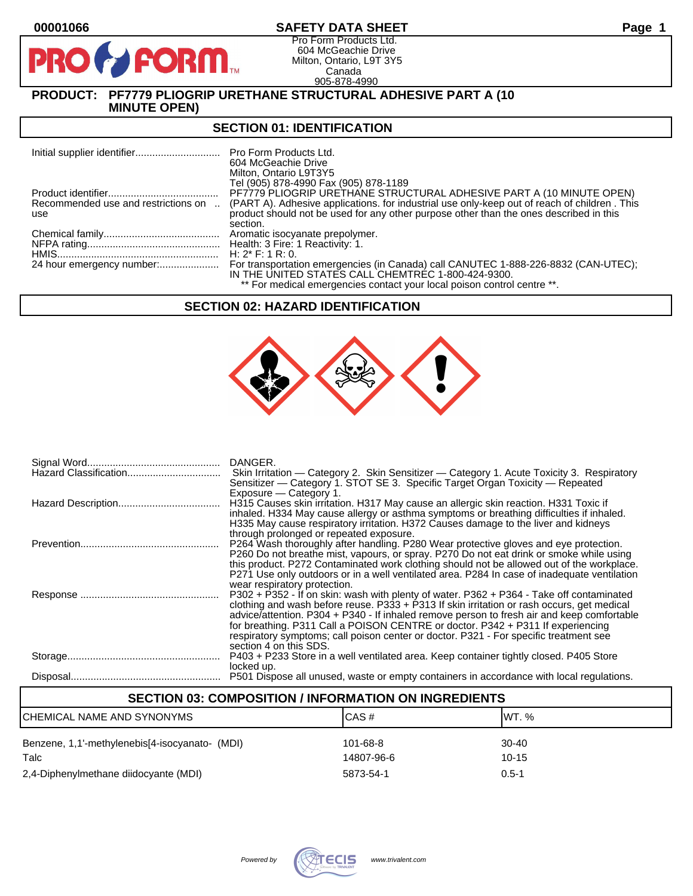$\mathbf{p}$ 

# **00001066 SAFETY DATA SHEET Page 1**

Pro Form Products Ltd. 604 McGeachie Drive Milton, Ontario, L9T 3Y5 Canada 905-878-4990

**PRODUCT: PF7779 PLIOGRIP URETHANE STRUCTURAL ADHESIVE PART A (10 MINUTE OPEN)**

**FORM** 

# **SECTION 01: IDENTIFICATION**

|                                            | Pro Form Products Ltd.<br>604 McGeachie Drive<br>Milton, Ontario L9T3Y5<br>Tel (905) 878-4990 Fax (905) 878-1189                                                                       |
|--------------------------------------------|----------------------------------------------------------------------------------------------------------------------------------------------------------------------------------------|
|                                            | PF7779 PLIOGRIP URETHANE STRUCTURAL ADHESIVE PART A (10 MINUTE OPEN)                                                                                                                   |
| Recommended use and restrictions on<br>use | (PART A). Adhesive applications, for industrial use only-keep out of reach of children. This<br>product should not be used for any other purpose other than the ones described in this |
|                                            | section.                                                                                                                                                                               |
|                                            |                                                                                                                                                                                        |
|                                            |                                                                                                                                                                                        |
|                                            | H: $2^*$ F: 1 R: 0.                                                                                                                                                                    |
|                                            | For transportation emergencies (in Canada) call CANUTEC 1-888-226-8832 (CAN-UTEC);<br>IN THE UNITED STATES CALL CHEMTREC 1-800-424-9300.                                               |
|                                            | ** For medical emergencies contact your local poison control centre **.                                                                                                                |

# **SECTION 02: HAZARD IDENTIFICATION**



| DANGER.<br>Skin Irritation — Category 2. Skin Sensitizer — Category 1. Acute Toxicity 3. Respiratory<br>Sensitizer — Category 1. STOT SE 3. Specific Target Organ Toxicity — Repeated                                                                                                                                                                                                                                                                                                                  |
|--------------------------------------------------------------------------------------------------------------------------------------------------------------------------------------------------------------------------------------------------------------------------------------------------------------------------------------------------------------------------------------------------------------------------------------------------------------------------------------------------------|
| Exposure - Category 1.<br>H315 Causes skin irritation. H317 May cause an allergic skin reaction. H331 Toxic if<br>inhaled. H334 May cause allergy or asthma symptoms or breathing difficulties if inhaled.<br>H335 May cause respiratory irritation. H372 Causes damage to the liver and kidneys                                                                                                                                                                                                       |
| through prolonged or repeated exposure.<br>P264 Wash thoroughly after handling. P280 Wear protective gloves and eye protection.<br>P260 Do not breathe mist, vapours, or spray. P270 Do not eat drink or smoke while using<br>this product. P272 Contaminated work clothing should not be allowed out of the workplace.                                                                                                                                                                                |
| P271 Use only outdoors or in a well ventilated area. P284 In case of inadequate ventilation<br>wear respiratory protection.<br>P302 + P352 - If on skin: wash with plenty of water. P362 + P364 - Take off contaminated<br>clothing and wash before reuse. P333 + P313 If skin irritation or rash occurs, get medical<br>advice/attention. P304 + P340 - If inhaled remove person to fresh air and keep comfortable<br>for breathing. P311 Call a POISON CENTRE or doctor. P342 + P311 If experiencing |
| respiratory symptoms; call poison center or doctor. P321 - For specific treatment see<br>section 4 on this SDS.<br>P403 + P233 Store in a well ventilated area. Keep container tightly closed. P405 Store<br>locked up.                                                                                                                                                                                                                                                                                |
| P501 Dispose all unused, waste or empty containers in accordance with local regulations.                                                                                                                                                                                                                                                                                                                                                                                                               |

| <b>SECTION 03: COMPOSITION / INFORMATION ON INGREDIENTS</b> |            |           |  |
|-------------------------------------------------------------|------------|-----------|--|
| ICHEMICAL NAME AND SYNONYMS                                 | CAS#       | IWT. %    |  |
| Benzene, 1,1'-methylenebis[4-isocyanato- (MDI)              | 101-68-8   | $30 - 40$ |  |
| Talc                                                        | 14807-96-6 | $10 - 15$ |  |
| 2,4-Diphenylmethane diidocyante (MDI)                       | 5873-54-1  | $0.5 - 1$ |  |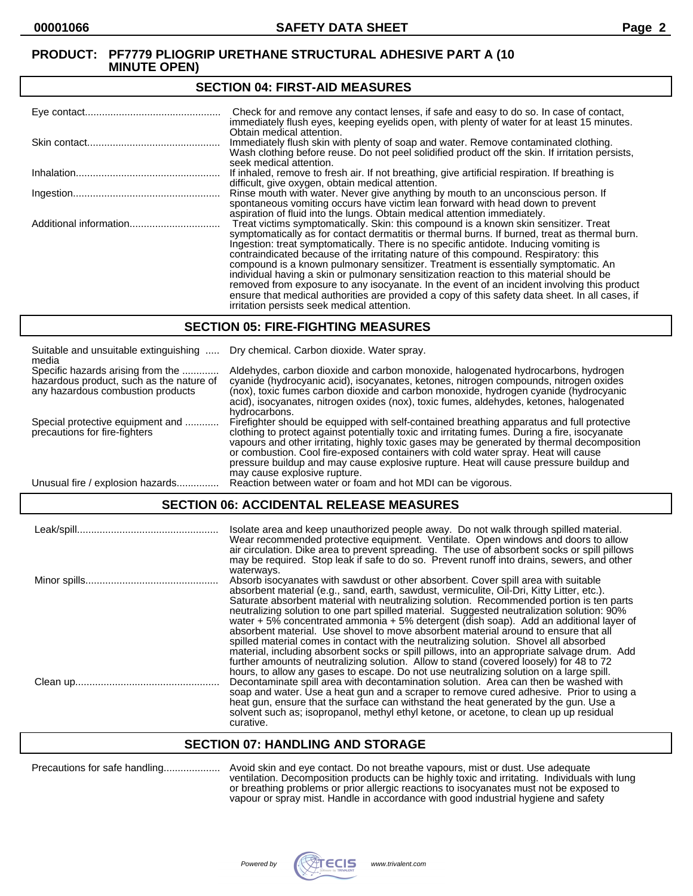#### **SECTION 04: FIRST-AID MEASURES**

| Check for and remove any contact lenses, if safe and easy to do so. In case of contact,<br>immediately flush eyes, keeping eyelids open, with plenty of water for at least 15 minutes.                                                                                                                                                                                                                                                                                                                                                                                                                                                                                                                                                                                                                   |
|----------------------------------------------------------------------------------------------------------------------------------------------------------------------------------------------------------------------------------------------------------------------------------------------------------------------------------------------------------------------------------------------------------------------------------------------------------------------------------------------------------------------------------------------------------------------------------------------------------------------------------------------------------------------------------------------------------------------------------------------------------------------------------------------------------|
| Obtain medical attention.<br>Immediately flush skin with plenty of soap and water. Remove contaminated clothing.<br>Wash clothing before reuse. Do not peel solidified product off the skin. If irritation persists,<br>seek medical attention.                                                                                                                                                                                                                                                                                                                                                                                                                                                                                                                                                          |
| If inhaled, remove to fresh air. If not breathing, give artificial respiration. If breathing is<br>difficult, give oxygen, obtain medical attention.                                                                                                                                                                                                                                                                                                                                                                                                                                                                                                                                                                                                                                                     |
| Rinse mouth with water. Never give anything by mouth to an unconscious person. If<br>spontaneous vomiting occurs have victim lean forward with head down to prevent<br>aspiration of fluid into the lungs. Obtain medical attention immediately.                                                                                                                                                                                                                                                                                                                                                                                                                                                                                                                                                         |
| Treat victims symptomatically. Skin: this compound is a known skin sensitizer. Treat<br>symptomatically as for contact dermatitis or thermal burns. If burned, treat as thermal burn.<br>Ingestion: treat symptomatically. There is no specific antidote. Inducing vomiting is<br>contraindicated because of the irritating nature of this compound. Respiratory: this<br>compound is a known pulmonary sensitizer. Treatment is essentially symptomatic. An<br>individual having a skin or pulmonary sensitization reaction to this material should be<br>removed from exposure to any isocyanate. In the event of an incident involving this product<br>ensure that medical authorities are provided a copy of this safety data sheet. In all cases, if<br>irritation persists seek medical attention. |

#### **SECTION 05: FIRE-FIGHTING MEASURES**

| Suitable and unsuitable extinguishing<br>media                                                                     | Dry chemical. Carbon dioxide. Water spray.                                                                                                                                                                                                                                                                                                                                                                                                                                                                |
|--------------------------------------------------------------------------------------------------------------------|-----------------------------------------------------------------------------------------------------------------------------------------------------------------------------------------------------------------------------------------------------------------------------------------------------------------------------------------------------------------------------------------------------------------------------------------------------------------------------------------------------------|
| Specific hazards arising from the<br>hazardous product, such as the nature of<br>any hazardous combustion products | Aldehydes, carbon dioxide and carbon monoxide, halogenated hydrocarbons, hydrogen<br>cyanide (hydrocyanic acid), isocyanates, ketones, nitrogen compounds, nitrogen oxides<br>(nox), toxic fumes carbon dioxide and carbon monoxide, hydrogen cyanide (hydrocyanic<br>acid), isocyanates, nitrogen oxides (nox), toxic fumes, aldehydes, ketones, halogenated<br>hydrocarbons.                                                                                                                            |
| Special protective equipment and<br>precautions for fire-fighters                                                  | Firefighter should be equipped with self-contained breathing apparatus and full protective<br>clothing to protect against potentially toxic and irritating fumes. During a fire, isocyanate<br>vapours and other irritating, highly toxic gases may be generated by thermal decomposition<br>or combustion. Cool fire-exposed containers with cold water spray. Heat will cause<br>pressure buildup and may cause explosive rupture. Heat will cause pressure buildup and<br>may cause explosive rupture. |
| Unusual fire / explosion hazards.                                                                                  | Reaction between water or foam and hot MDI can be vigorous.                                                                                                                                                                                                                                                                                                                                                                                                                                               |

# **SECTION 06: ACCIDENTAL RELEASE MEASURES**

| Isolate area and keep unauthorized people away. Do not walk through spilled material.<br>Wear recommended protective equipment. Ventilate. Open windows and doors to allow<br>air circulation. Dike area to prevent spreading. The use of absorbent socks or spill pillows<br>may be required. Stop leak if safe to do so. Prevent runoff into drains, sewers, and other                                                                                                                                                                                                                                                                                                                                                                                     |
|--------------------------------------------------------------------------------------------------------------------------------------------------------------------------------------------------------------------------------------------------------------------------------------------------------------------------------------------------------------------------------------------------------------------------------------------------------------------------------------------------------------------------------------------------------------------------------------------------------------------------------------------------------------------------------------------------------------------------------------------------------------|
| waterways.<br>Absorb isocyanates with sawdust or other absorbent. Cover spill area with suitable<br>absorbent material (e.g., sand, earth, sawdust, vermiculite, Oil-Dri, Kitty Litter, etc.).<br>Saturate absorbent material with neutralizing solution. Recommended portion is ten parts<br>neutralizing solution to one part spilled material. Suggested neutralization solution: 90%<br>water $+5\%$ concentrated ammonia $+5\%$ detergent (dish soap). Add an additional layer of<br>absorbent material. Use shovel to move absorbent material around to ensure that all                                                                                                                                                                                |
| spilled material comes in contact with the neutralizing solution. Shovel all absorbed<br>material, including absorbent socks or spill pillows, into an appropriate salvage drum. Add<br>further amounts of neutralizing solution. Allow to stand (covered loosely) for 48 to 72<br>hours, to allow any gases to escape. Do not use neutralizing solution on a large spill.<br>Decontaminate spill area with decontamination solution. Area can then be washed with<br>soap and water. Use a heat gun and a scraper to remove cured adhesive. Prior to using a<br>heat gun, ensure that the surface can withstand the heat generated by the gun. Use a<br>solvent such as; isopropanol, methyl ethyl ketone, or acetone, to clean up up residual<br>curative. |

# **SECTION 07: HANDLING AND STORAGE**

| Precautions for safe handling |
|-------------------------------|
|-------------------------------|

Precautions for safe handling.................... Avoid skin and eye contact. Do not breathe vapours, mist or dust. Use adequate ventilation. Decomposition products can be highly toxic and irritating. Individuals with lung or breathing problems or prior allergic reactions to isocyanates must not be exposed to vapour or spray mist. Handle in accordance with good industrial hygiene and safety

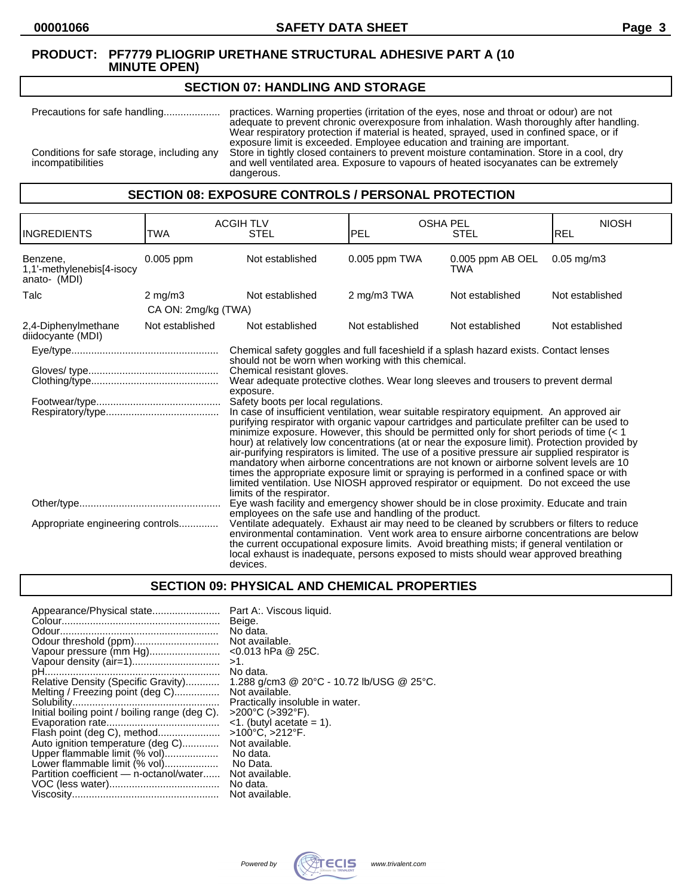#### **SECTION 07: HANDLING AND STORAGE**

Precautions for safe handling.................... practices. Warning properties (irritation of the eyes, nose and throat or odour) are not adequate to prevent chronic overexposure from inhalation. Wash thoroughly after handling. Wear respiratory protection if material is heated, sprayed, used in confined space, or if exposure limit is exceeded. Employee education and training are important. Conditions for safe storage, including any Store in tightly closed containers to prevent moisture contamination. Store in a cool, dry incompatibilities and well ventilated area. Exposure to vapours of heated isocyanates can be extremely dangerous.

## **SECTION 08: EXPOSURE CONTROLS / PERSONAL PROTECTION**

| <b>INGREDIENTS</b>                                    | TWA                 | <b>ACGIH TLV</b><br><b>STEL</b>                                                                                                                                                                                                                                                                                                                                                                                                                                                                                                                                                                                                                                                                                                                                                                                                                                                                                                                                                                                 | <b>OSHA PEL</b><br>PEL | <b>STEL</b>                    | <b>NIOSH</b><br>REL |
|-------------------------------------------------------|---------------------|-----------------------------------------------------------------------------------------------------------------------------------------------------------------------------------------------------------------------------------------------------------------------------------------------------------------------------------------------------------------------------------------------------------------------------------------------------------------------------------------------------------------------------------------------------------------------------------------------------------------------------------------------------------------------------------------------------------------------------------------------------------------------------------------------------------------------------------------------------------------------------------------------------------------------------------------------------------------------------------------------------------------|------------------------|--------------------------------|---------------------|
| Benzene,<br>1,1'-methylenebis[4-isocy<br>anato- (MDI) | 0.005 ppm           | Not established                                                                                                                                                                                                                                                                                                                                                                                                                                                                                                                                                                                                                                                                                                                                                                                                                                                                                                                                                                                                 | 0.005 ppm TWA          | 0.005 ppm AB OEL<br><b>TWA</b> | $0.05$ mg/m $3$     |
| Talc                                                  | $2$ mg/m $3$        | Not established                                                                                                                                                                                                                                                                                                                                                                                                                                                                                                                                                                                                                                                                                                                                                                                                                                                                                                                                                                                                 | 2 mg/m3 TWA            | Not established                | Not established     |
|                                                       | CA ON: 2mg/kg (TWA) |                                                                                                                                                                                                                                                                                                                                                                                                                                                                                                                                                                                                                                                                                                                                                                                                                                                                                                                                                                                                                 |                        |                                |                     |
| 2,4-Diphenylmethane<br>diidocyante (MDI)              | Not established     | Not established                                                                                                                                                                                                                                                                                                                                                                                                                                                                                                                                                                                                                                                                                                                                                                                                                                                                                                                                                                                                 | Not established        | Not established                | Not established     |
|                                                       |                     | Chemical safety goggles and full faceshield if a splash hazard exists. Contact lenses                                                                                                                                                                                                                                                                                                                                                                                                                                                                                                                                                                                                                                                                                                                                                                                                                                                                                                                           |                        |                                |                     |
|                                                       |                     | should not be worn when working with this chemical.<br>Chemical resistant gloves.<br>Wear adequate protective clothes. Wear long sleeves and trousers to prevent dermal<br>exposure.<br>Safety boots per local regulations.<br>In case of insufficient ventilation, wear suitable respiratory equipment. An approved air<br>purifying respirator with organic vapour cartridges and particulate prefilter can be used to<br>minimize exposure. However, this should be permitted only for short periods of time $(1hour) at relatively low concentrations (at or near the exposure limit). Protection provided byair-purifying respirators is limited. The use of a positive pressure air supplied respirator ismandatory when airborne concentrations are not known or airborne solvent levels are 10times the appropriate exposure limit or spraying is performed in a confined space or withlimited ventilation. Use NIOSH approved respirator or equipment. Do not exceed the uselimits of the respirator.$ |                        |                                |                     |
| Appropriate engineering controls                      |                     | Eye wash facility and emergency shower should be in close proximity. Educate and train<br>employees on the safe use and handling of the product.<br>Ventilate adequately. Exhaust air may need to be cleaned by scrubbers or filters to reduce<br>environmental contamination. Vent work area to ensure airborne concentrations are below<br>the current occupational exposure limits. Avoid breathing mists; if general ventilation or<br>local exhaust is inadequate, persons exposed to mists should wear approved breathing<br>devices.                                                                                                                                                                                                                                                                                                                                                                                                                                                                     |                        |                                |                     |

# **SECTION 09: PHYSICAL AND CHEMICAL PROPERTIES**

| Appearance/Physical state                      | Part A:. Viscous liquid.                  |
|------------------------------------------------|-------------------------------------------|
|                                                | Beige.                                    |
|                                                | No data.                                  |
|                                                | Not available.                            |
| Vapour pressure (mm Hg)                        | $<$ 0.013 hPa @ 25C.                      |
|                                                | $>1$ .                                    |
|                                                | No data.                                  |
| Relative Density (Specific Gravity)            | 1.288 g/cm3 @ 20°C - 10.72 lb/USG @ 25°C. |
| Melting / Freezing point (deg C)               | Not available.                            |
|                                                | Practically insoluble in water.           |
| Initial boiling point / boiling range (deg C). | $>200^{\circ}$ C ( $>392^{\circ}$ F).     |
|                                                | $\leq$ 1. (butyl acetate = 1).            |
| Flash point (deg C), method                    | >100°C, >212°F.                           |
| Auto ignition temperature (deg C)              | Not available.                            |
| Upper flammable limit (% vol)                  | No data.                                  |
| Lower flammable limit (% vol)                  | No Data.                                  |
| Partition coefficient — n-octanol/water        | Not available.                            |
|                                                | No data.                                  |
|                                                | Not available.                            |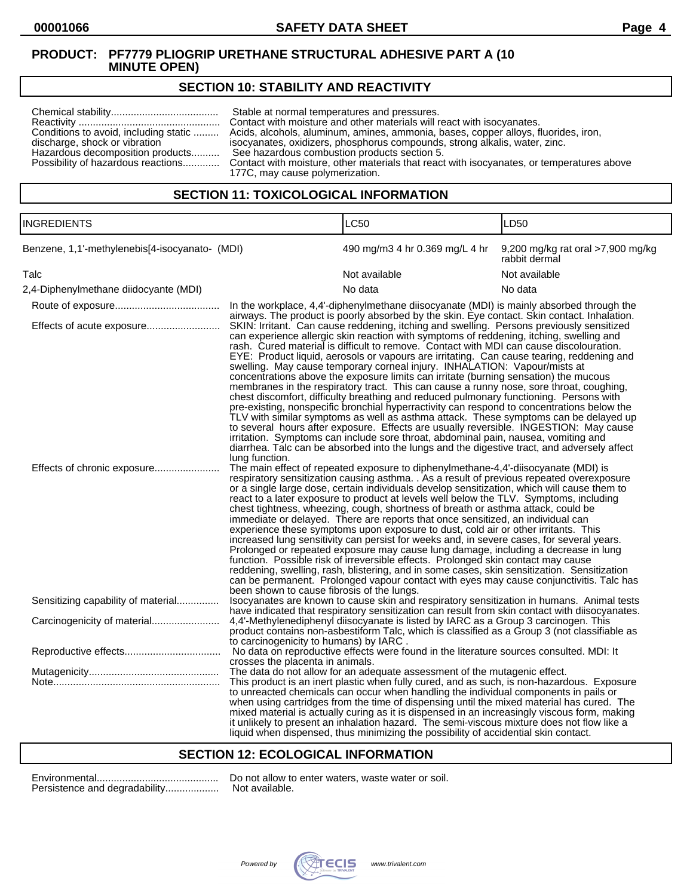# **SECTION 10: STABILITY AND REACTIVITY**

| Conditions to avoid, including static<br>discharge, shock or vibration<br>Hazardous decomposition products | Stable at normal temperatures and pressures.<br>Contact with moisture and other materials will react with isocyanates.<br>Acids, alcohols, aluminum, amines, ammonia, bases, copper alloys, fluorides, iron,<br>isocyanates, oxidizers, phosphorus compounds, strong alkalis, water, zinc.<br>See hazardous combustion products section 5.<br>Possibility of hazardous reactions Contact with moisture, other materials that react with isocyanates, or temperatures above<br>177C, may cause polymerization. |
|------------------------------------------------------------------------------------------------------------|---------------------------------------------------------------------------------------------------------------------------------------------------------------------------------------------------------------------------------------------------------------------------------------------------------------------------------------------------------------------------------------------------------------------------------------------------------------------------------------------------------------|
|------------------------------------------------------------------------------------------------------------|---------------------------------------------------------------------------------------------------------------------------------------------------------------------------------------------------------------------------------------------------------------------------------------------------------------------------------------------------------------------------------------------------------------------------------------------------------------------------------------------------------------|

# **SECTION 11: TOXICOLOGICAL INFORMATION**

| <b>INGREDIENTS</b>                             |                                                              | <b>LC50</b>                                                                                                                                                                                                                                                                                                                                                                                                                                                                                                                                                                                                                                                                                                                                                                                                                                                                                                                                                                                                                                                                                                                                                                                               | LD <sub>50</sub>                                   |  |
|------------------------------------------------|--------------------------------------------------------------|-----------------------------------------------------------------------------------------------------------------------------------------------------------------------------------------------------------------------------------------------------------------------------------------------------------------------------------------------------------------------------------------------------------------------------------------------------------------------------------------------------------------------------------------------------------------------------------------------------------------------------------------------------------------------------------------------------------------------------------------------------------------------------------------------------------------------------------------------------------------------------------------------------------------------------------------------------------------------------------------------------------------------------------------------------------------------------------------------------------------------------------------------------------------------------------------------------------|----------------------------------------------------|--|
| Benzene, 1,1'-methylenebis[4-isocyanato- (MDI) |                                                              | 490 mg/m3 4 hr 0.369 mg/L 4 hr                                                                                                                                                                                                                                                                                                                                                                                                                                                                                                                                                                                                                                                                                                                                                                                                                                                                                                                                                                                                                                                                                                                                                                            | 9,200 mg/kg rat oral >7,900 mg/kg<br>rabbit dermal |  |
| Talc                                           |                                                              | Not available                                                                                                                                                                                                                                                                                                                                                                                                                                                                                                                                                                                                                                                                                                                                                                                                                                                                                                                                                                                                                                                                                                                                                                                             | Not available                                      |  |
| 2,4-Diphenylmethane diidocyante (MDI)          |                                                              | No data                                                                                                                                                                                                                                                                                                                                                                                                                                                                                                                                                                                                                                                                                                                                                                                                                                                                                                                                                                                                                                                                                                                                                                                                   | No data                                            |  |
|                                                |                                                              | In the workplace, 4,4'-diphenylmethane diisocyanate (MDI) is mainly absorbed through the<br>airways. The product is poorly absorbed by the skin. Eye contact. Skin contact. Inhalation.                                                                                                                                                                                                                                                                                                                                                                                                                                                                                                                                                                                                                                                                                                                                                                                                                                                                                                                                                                                                                   |                                                    |  |
| Effects of acute exposure                      |                                                              | SKIN: Irritant. Can cause reddening, itching and swelling. Persons previously sensitized<br>can experience allergic skin reaction with symptoms of reddening, itching, swelling and<br>rash. Cured material is difficult to remove. Contact with MDI can cause discolouration.<br>EYE: Product liquid, aerosols or vapours are irritating. Can cause tearing, reddening and<br>swelling. May cause temporary corneal injury. INHALATION: Vapour/mists at<br>concentrations above the exposure limits can irritate (burning sensation) the mucous<br>membranes in the respiratory tract. This can cause a runny nose, sore throat, coughing,<br>chest discomfort, difficulty breathing and reduced pulmonary functioning. Persons with<br>pre-existing, nonspecific bronchial hyperractivity can respond to concentrations below the<br>TLV with similar symptoms as well as asthma attack. These symptoms can be delayed up<br>to several hours after exposure. Effects are usually reversible. INGESTION: May cause<br>irritation. Symptoms can include sore throat, abdominal pain, nausea, vomiting and<br>diarrhea. Talc can be absorbed into the lungs and the digestive tract, and adversely affect |                                                    |  |
| Effects of chronic exposure                    | lung function.<br>been shown to cause fibrosis of the lungs. | The main effect of repeated exposure to diphenylmethane-4,4'-diisocyanate (MDI) is<br>respiratory sensitization causing asthma. . As a result of previous repeated overexposure<br>or a single large dose, certain individuals develop sensitization, which will cause them to<br>react to a later exposure to product at levels well below the TLV. Symptoms, including<br>chest tightness, wheezing, cough, shortness of breath or asthma attack, could be<br>immediate or delayed. There are reports that once sensitized, an individual can<br>experience these symptoms upon exposure to dust, cold air or other irritants. This<br>increased lung sensitivity can persist for weeks and, in severe cases, for several years.<br>Prolonged or repeated exposure may cause lung damage, including a decrease in lung<br>function. Possible risk of irreversible effects. Prolonged skin contact may cause<br>reddening, swelling, rash, blistering, and in some cases, skin sensitization. Sensitization<br>can be permanent. Prolonged vapour contact with eyes may cause conjunctivitis. Talc has                                                                                                   |                                                    |  |
| Sensitizing capability of material             |                                                              | Isocyanates are known to cause skin and respiratory sensitization in humans. Animal tests<br>have indicated that respiratory sensitization can result from skin contact with diisocyanates.                                                                                                                                                                                                                                                                                                                                                                                                                                                                                                                                                                                                                                                                                                                                                                                                                                                                                                                                                                                                               |                                                    |  |
| Carcinogenicity of material                    | to carcinogenicity to humans) by IARC.                       | 4,4'-Methylenediphenyl diisocyanate is listed by IARC as a Group 3 carcinogen. This<br>product contains non-asbestiform Talc, which is classified as a Group 3 (not classifiable as                                                                                                                                                                                                                                                                                                                                                                                                                                                                                                                                                                                                                                                                                                                                                                                                                                                                                                                                                                                                                       |                                                    |  |
|                                                | crosses the placenta in animals.                             | No data on reproductive effects were found in the literature sources consulted. MDI: It                                                                                                                                                                                                                                                                                                                                                                                                                                                                                                                                                                                                                                                                                                                                                                                                                                                                                                                                                                                                                                                                                                                   |                                                    |  |
|                                                |                                                              | The data do not allow for an adequate assessment of the mutagenic effect.<br>This product is an inert plastic when fully cured, and as such, is non-hazardous. Exposure<br>to unreacted chemicals can occur when handling the individual components in pails or<br>when using cartridges from the time of dispensing until the mixed material has cured. The<br>mixed material is actually curing as it is dispensed in an increasingly viscous form, making<br>it unlikely to present an inhalation hazard. The semi-viscous mixture does not flow like a                                                                                                                                                                                                                                                                                                                                                                                                                                                                                                                                                                                                                                                |                                                    |  |

#### **SECTION 12: ECOLOGICAL INFORMATION**

| Persistence and degradability |
|-------------------------------|

Environmental........................................... Do not allow to enter waters, waste water or soil. ..... Not available.



liquid when dispensed, thus minimizing the possibility of accidential skin contact.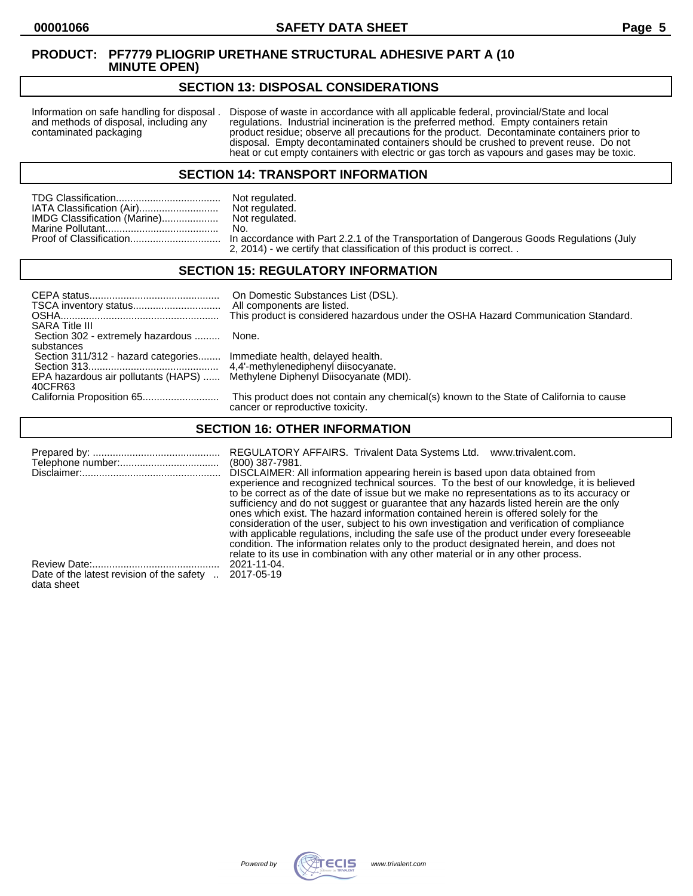## **SECTION 13: DISPOSAL CONSIDERATIONS**

Information on safe handling for disposal . Dispose of waste in accordance with all applicable federal, provincial/State and local and methods of disposal, including any regulations. Industrial incineration is the preferre and methods of disposal, including any regulations. Industrial incineration is the preferred method. Empty containers retain<br>contaminated packaging product residue; observe all precautions for the product. Decontaminate co product residue; observe all precautions for the product. Decontaminate containers prior to disposal. Empty decontaminated containers should be crushed to prevent reuse. Do not heat or cut empty containers with electric or gas torch as vapours and gases may be toxic.

#### **SECTION 14: TRANSPORT INFORMATION**

|                              | Not regulated. |
|------------------------------|----------------|
| IATA Classification (Air)    | Not regulated. |
| IMDG Classification (Marine) | Not regulated. |
|                              | No.            |
|                              |                |
|                              |                |

Not regulated.<br>No. n accordance with Part 2.2.1 of the Transportation of Dangerous Goods Regulations (July 2, 2014) - we certify that classification of this product is correct. .

# **SECTION 15: REGULATORY INFORMATION**

| <b>SARA Title III</b>                                                                                                                                              | On Domestic Substances List (DSL).<br>All components are listed.<br>This product is considered hazardous under the OSHA Hazard Communication Standard. |
|--------------------------------------------------------------------------------------------------------------------------------------------------------------------|--------------------------------------------------------------------------------------------------------------------------------------------------------|
| Section 302 - extremely hazardous  None.                                                                                                                           |                                                                                                                                                        |
| substances<br>Section 311/312 - hazard categories Immediate health, delayed health.<br>EPA hazardous air pollutants (HAPS)  Methylene Diphenyl Diisocyanate (MDI). |                                                                                                                                                        |
| 40CFR63                                                                                                                                                            | This product does not contain any chemical(s) known to the State of California to cause<br>cancer or reproductive toxicity.                            |

# **SECTION 16: OTHER INFORMATION**

|                                           | REGULATORY AFFAIRS. Trivalent Data Systems Ltd.<br>www.trivalent.com.<br>$(800)$ 387-7981.<br>DISCLAIMER: All information appearing herein is based upon data obtained from<br>experience and recognized technical sources. To the best of our knowledge, it is believed<br>to be correct as of the date of issue but we make no representations as to its accuracy or<br>sufficiency and do not suggest or guarantee that any hazards listed herein are the only<br>ones which exist. The hazard information contained herein is offered solely for the<br>consideration of the user, subject to his own investigation and verification of compliance<br>with applicable regulations, including the safe use of the product under every foreseeable<br>condition. The information relates only to the product designated herein, and does not |
|-------------------------------------------|------------------------------------------------------------------------------------------------------------------------------------------------------------------------------------------------------------------------------------------------------------------------------------------------------------------------------------------------------------------------------------------------------------------------------------------------------------------------------------------------------------------------------------------------------------------------------------------------------------------------------------------------------------------------------------------------------------------------------------------------------------------------------------------------------------------------------------------------|
|                                           | relate to its use in combination with any other material or in any other process.                                                                                                                                                                                                                                                                                                                                                                                                                                                                                                                                                                                                                                                                                                                                                              |
| Date of the latest revision of the safety | 2021-11-04.                                                                                                                                                                                                                                                                                                                                                                                                                                                                                                                                                                                                                                                                                                                                                                                                                                    |
| data sheet                                | 2017-05-19                                                                                                                                                                                                                                                                                                                                                                                                                                                                                                                                                                                                                                                                                                                                                                                                                                     |

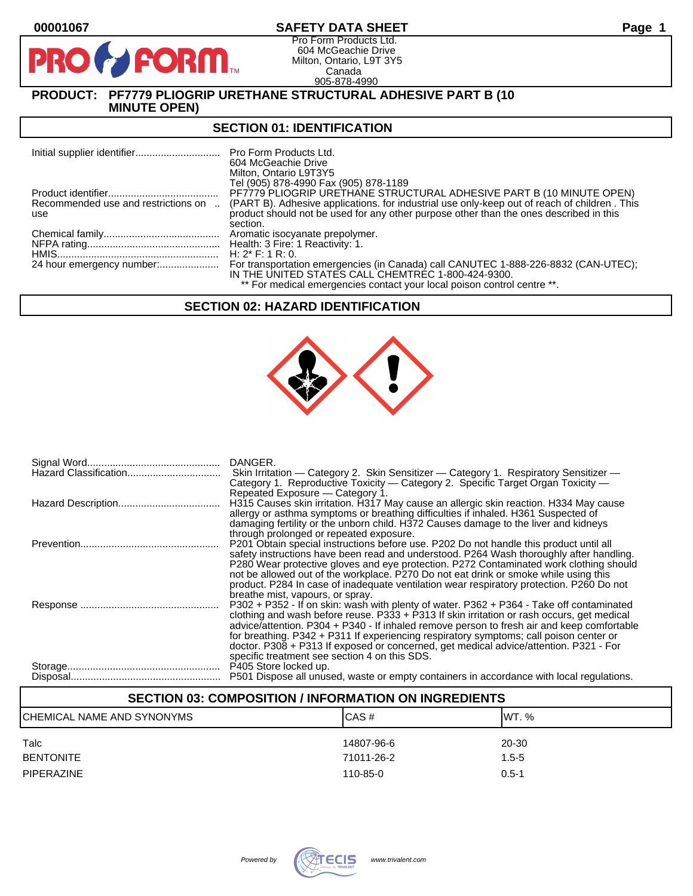# **00001067 SAFETY DATA SHEET Page 1**

Pro Form Products Ltd. 604 McGeachie Drive Milton, Ontario, L9T 3Y5 Canada 905-878-4990

# **PRODUCT: PF7779 PLIOGRIP URETHANE STRUCTURAL ADHESIVE PART B (10 MINUTE OPEN)**

**FORM** 

### **SECTION 01: IDENTIFICATION**

|                                            | <b>Pro Form Products Ltd.</b><br>604 McGeachie Drive<br>Milton, Ontario L9T3Y5<br>Tel (905) 878-4990 Fax (905) 878-1189                                                                            |
|--------------------------------------------|----------------------------------------------------------------------------------------------------------------------------------------------------------------------------------------------------|
|                                            | PF7779 PLIOGRIP URETHANE STRUCTURAL ADHESIVE PART B (10 MINUTE OPEN)                                                                                                                               |
| Recommended use and restrictions on<br>use | (PART B). Adhesive applications, for industrial use only-keep out of reach of children. This<br>product should not be used for any other purpose other than the ones described in this<br>section. |
|                                            |                                                                                                                                                                                                    |
|                                            |                                                                                                                                                                                                    |
|                                            | H: $2^*$ F: 1 R: 0.                                                                                                                                                                                |
|                                            | For transportation emergencies (in Canada) call CANUTEC 1-888-226-8832 (CAN-UTEC);<br>IN THE UNITED STATES CALL CHEMTREC 1-800-424-9300.                                                           |
|                                            | ** For medical emergencies contact your local poison control centre **.                                                                                                                            |

### **SECTION 02: HAZARD IDENTIFICATION**



| DANGER.<br>Skin Irritation — Category 2. Skin Sensitizer — Category 1. Respiratory Sensitizer —<br>Category 1. Reproductive Toxicity - Category 2. Specific Target Organ Toxicity -<br>Repeated Exposure – Category 1.                                                                                                                                                                                                                                                                                                   |
|--------------------------------------------------------------------------------------------------------------------------------------------------------------------------------------------------------------------------------------------------------------------------------------------------------------------------------------------------------------------------------------------------------------------------------------------------------------------------------------------------------------------------|
| H315 Causes skin irritation. H317 May cause an allergic skin reaction. H334 May cause<br>allergy or asthma symptoms or breathing difficulties if inhaled. H361 Suspected of<br>damaging fertility or the unborn child. H372 Causes damage to the liver and kidneys<br>through prolonged or repeated exposure.                                                                                                                                                                                                            |
| P201 Obtain special instructions before use. P202 Do not handle this product until all<br>safety instructions have been read and understood. P264 Wash thoroughly after handling.<br>P280 Wear protective gloves and eye protection. P272 Contaminated work clothing should<br>not be allowed out of the workplace. P270 Do not eat drink or smoke while using this<br>product. P284 In case of inadequate ventilation wear respiratory protection. P260 Do not<br>breathe mist, vapours, or spray.                      |
| P302 + P352 - If on skin: wash with plenty of water. P362 + P364 - Take off contaminated<br>clothing and wash before reuse. P333 + P313 If skin irritation or rash occurs, get medical<br>advice/attention. P304 + P340 - If inhaled remove person to fresh air and keep comfortable<br>for breathing. P342 + P311 If experiencing respiratory symptoms; call poison center or<br>doctor. P308 + P313 If exposed or concerned, get medical advice/attention. P321 - For<br>specific treatment see section 4 on this SDS. |
| P501 Dispose all unused, waste or empty containers in accordance with local regulations.                                                                                                                                                                                                                                                                                                                                                                                                                                 |

# **SECTION 03: COMPOSITION / INFORMATION ON INGREDIENTS** CHEMICAL NAME AND SYNONYMS CASE CAS # CAS # WT. % Talc 14807-96-6 20-30 BENTONITE 71011-26-2 1.5-5 PIPERAZINE 110-85-0 0.5-1

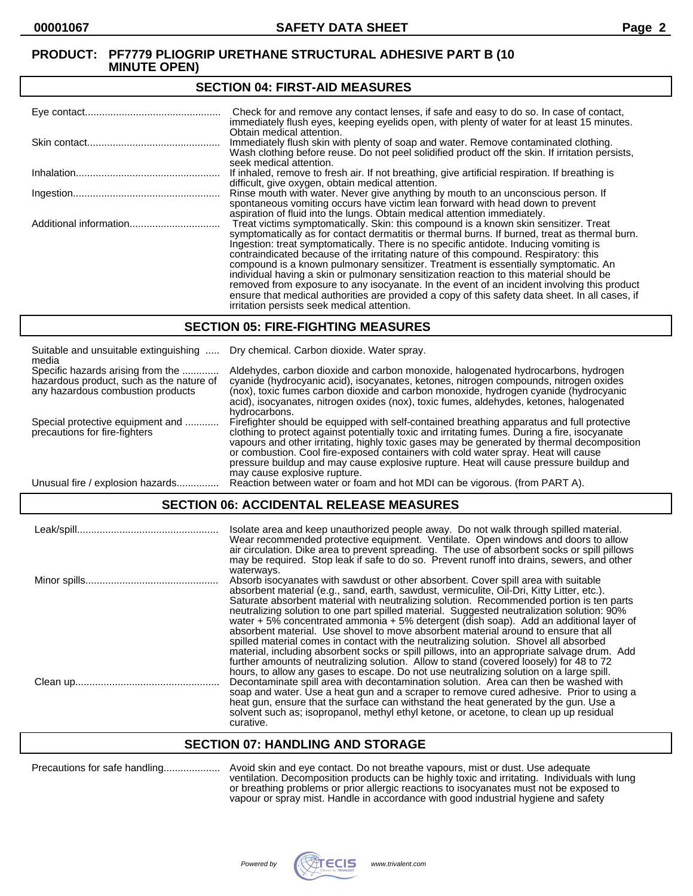#### **SECTION 04: FIRST-AID MEASURES**

| Check for and remove any contact lenses, if safe and easy to do so. In case of contact,<br>immediately flush eyes, keeping eyelids open, with plenty of water for at least 15 minutes.                                                                                                                                                                                                                                                                                                                                                                                                                                                                                                                                                                                                                   |
|----------------------------------------------------------------------------------------------------------------------------------------------------------------------------------------------------------------------------------------------------------------------------------------------------------------------------------------------------------------------------------------------------------------------------------------------------------------------------------------------------------------------------------------------------------------------------------------------------------------------------------------------------------------------------------------------------------------------------------------------------------------------------------------------------------|
| Obtain medical attention.<br>Immediately flush skin with plenty of soap and water. Remove contaminated clothing.<br>Wash clothing before reuse. Do not peel solidified product off the skin. If irritation persists,<br>seek medical attention.                                                                                                                                                                                                                                                                                                                                                                                                                                                                                                                                                          |
| If inhaled, remove to fresh air. If not breathing, give artificial respiration. If breathing is<br>difficult, give oxygen, obtain medical attention.                                                                                                                                                                                                                                                                                                                                                                                                                                                                                                                                                                                                                                                     |
| Rinse mouth with water. Never give anything by mouth to an unconscious person. If<br>spontaneous vomiting occurs have victim lean forward with head down to prevent<br>aspiration of fluid into the lungs. Obtain medical attention immediately.                                                                                                                                                                                                                                                                                                                                                                                                                                                                                                                                                         |
| Treat victims symptomatically. Skin: this compound is a known skin sensitizer. Treat<br>symptomatically as for contact dermatitis or thermal burns. If burned, treat as thermal burn.<br>Ingestion: treat symptomatically. There is no specific antidote. Inducing vomiting is<br>contraindicated because of the irritating nature of this compound. Respiratory: this<br>compound is a known pulmonary sensitizer. Treatment is essentially symptomatic. An<br>individual having a skin or pulmonary sensitization reaction to this material should be<br>removed from exposure to any isocyanate. In the event of an incident involving this product<br>ensure that medical authorities are provided a copy of this safety data sheet. In all cases, if<br>irritation persists seek medical attention. |

#### **SECTION 05: FIRE-FIGHTING MEASURES**

| Suitable and unsuitable extinguishing<br>media                                                                     | Dry chemical. Carbon dioxide. Water spray.                                                                                                                                                                                                                                                                                                                                                                                                                                                                |
|--------------------------------------------------------------------------------------------------------------------|-----------------------------------------------------------------------------------------------------------------------------------------------------------------------------------------------------------------------------------------------------------------------------------------------------------------------------------------------------------------------------------------------------------------------------------------------------------------------------------------------------------|
| Specific hazards arising from the<br>hazardous product, such as the nature of<br>any hazardous combustion products | Aldehydes, carbon dioxide and carbon monoxide, halogenated hydrocarbons, hydrogen<br>cyanide (hydrocyanic acid), isocyanates, ketones, nitrogen compounds, nitrogen oxides<br>(nox), toxic fumes carbon dioxide and carbon monoxide, hydrogen cyanide (hydrocyanic<br>acid), isocyanates, nitrogen oxides (nox), toxic fumes, aldehydes, ketones, halogenated<br>hydrocarbons.                                                                                                                            |
| Special protective equipment and<br>precautions for fire-fighters                                                  | Firefighter should be equipped with self-contained breathing apparatus and full protective<br>clothing to protect against potentially toxic and irritating fumes. During a fire, isocyanate<br>vapours and other irritating, highly toxic gases may be generated by thermal decomposition<br>or combustion. Cool fire-exposed containers with cold water spray. Heat will cause<br>pressure buildup and may cause explosive rupture. Heat will cause pressure buildup and<br>may cause explosive rupture. |
| Unusual fire / explosion hazards                                                                                   | Reaction between water or foam and hot MDI can be vigorous. (from PART A).                                                                                                                                                                                                                                                                                                                                                                                                                                |

# **SECTION 06: ACCIDENTAL RELEASE MEASURES**

| Leak/spill | Isolate area and keep unauthorized people away. Do not walk through spilled material.<br>Wear recommended protective equipment. Ventilate. Open windows and doors to allow<br>air circulation. Dike area to prevent spreading. The use of absorbent socks or spill pillows<br>may be required. Stop leak if safe to do so. Prevent runoff into drains, sewers, and other                                                                                                                                                                                                                                                                                                                                                                                                                                                                                                                                                                                    |
|------------|-------------------------------------------------------------------------------------------------------------------------------------------------------------------------------------------------------------------------------------------------------------------------------------------------------------------------------------------------------------------------------------------------------------------------------------------------------------------------------------------------------------------------------------------------------------------------------------------------------------------------------------------------------------------------------------------------------------------------------------------------------------------------------------------------------------------------------------------------------------------------------------------------------------------------------------------------------------|
|            | waterways.<br>Absorb isocyanates with sawdust or other absorbent. Cover spill area with suitable<br>absorbent material (e.g., sand, earth, sawdust, vermiculite, Oil-Dri, Kitty Litter, etc.).<br>Saturate absorbent material with neutralizing solution. Recommended portion is ten parts<br>neutralizing solution to one part spilled material. Suggested neutralization solution: 90%<br>water $+5\%$ concentrated ammonia $+5\%$ detergent (dish soap). Add an additional layer of<br>absorbent material. Use shovel to move absorbent material around to ensure that all<br>spilled material comes in contact with the neutralizing solution. Shovel all absorbed<br>material, including absorbent socks or spill pillows, into an appropriate salvage drum. Add<br>further amounts of neutralizing solution. Allow to stand (covered loosely) for 48 to 72<br>hours, to allow any gases to escape. Do not use neutralizing solution on a large spill. |
|            | Decontaminate spill area with decontamination solution. Area can then be washed with<br>soap and water. Use a heat gun and a scraper to remove cured adhesive. Prior to using a<br>heat gun, ensure that the surface can withstand the heat generated by the gun. Use a<br>solvent such as: isopropanol, methyl ethyl ketone, or acetone, to clean up up residual<br>curative.                                                                                                                                                                                                                                                                                                                                                                                                                                                                                                                                                                              |

#### **SECTION 07: HANDLING AND STORAGE**

| Precautions for safe handling |
|-------------------------------|
|-------------------------------|

Precautions for safe handling.................... Avoid skin and eye contact. Do not breathe vapours, mist or dust. Use adequate ventilation. Decomposition products can be highly toxic and irritating. Individuals with lung or breathing problems or prior allergic reactions to isocyanates must not be exposed to vapour or spray mist. Handle in accordance with good industrial hygiene and safety

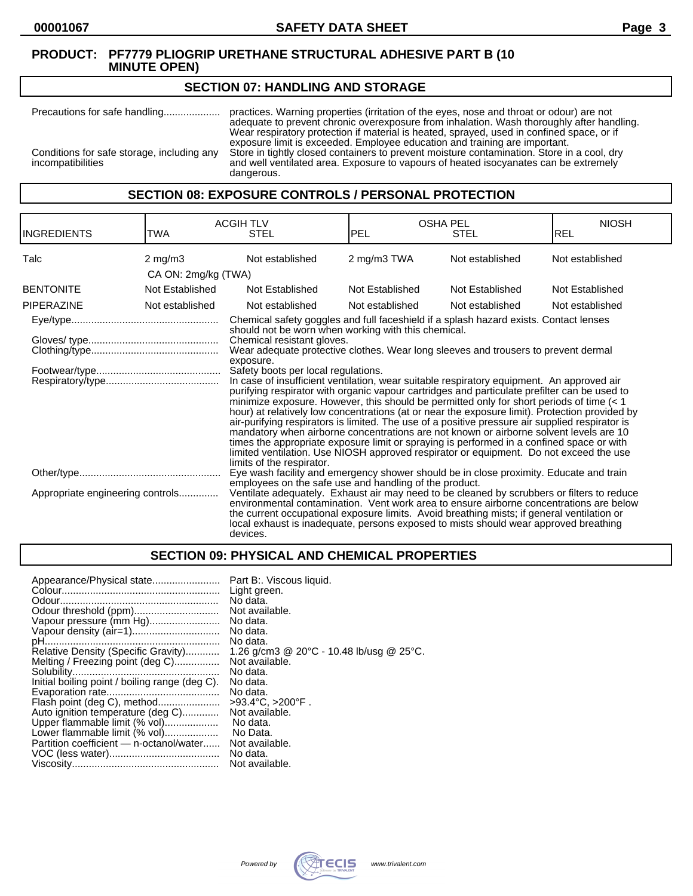# **SECTION 07: HANDLING AND STORAGE**

Precautions for safe handling.................... practices. Warning properties (irritation of the eyes, nose and throat or odour) are not adequate to prevent chronic overexposure from inhalation. Wash thoroughly after handling. Wear respiratory protection if material is heated, sprayed, used in confined space, or if exposure limit is exceeded. Employee education and training are important. Conditions for safe storage, including any Store in tightly closed containers to prevent moisture contamination. Store in a cool, dry incompatibilities and well ventilated area. Exposure to vapours of heated isocyanates can be extremely dangerous.

**SECTION 08: EXPOSURE CONTROLS / PERSONAL PROTECTION**

| <b>INGREDIENTS</b>               | TWA                 | <b>ACGIH TLV</b><br><b>STEL</b>                                                                                                                                                                                                                                                                                                                                                                                                                                                                                                                                                                                                                                                                                                                                                                                                                                                                                                                                                                                                                                                                                                    | <b>OSHA PEL</b><br><b>IPEL</b> | <b>STEL</b>     | <b>NIOSH</b><br><b>REL</b> |
|----------------------------------|---------------------|------------------------------------------------------------------------------------------------------------------------------------------------------------------------------------------------------------------------------------------------------------------------------------------------------------------------------------------------------------------------------------------------------------------------------------------------------------------------------------------------------------------------------------------------------------------------------------------------------------------------------------------------------------------------------------------------------------------------------------------------------------------------------------------------------------------------------------------------------------------------------------------------------------------------------------------------------------------------------------------------------------------------------------------------------------------------------------------------------------------------------------|--------------------------------|-----------------|----------------------------|
| Talc                             | $2 \text{ mg/m}$ 3  | Not established                                                                                                                                                                                                                                                                                                                                                                                                                                                                                                                                                                                                                                                                                                                                                                                                                                                                                                                                                                                                                                                                                                                    | 2 mg/m3 TWA                    | Not established | Not established            |
|                                  | CA ON: 2mg/kg (TWA) |                                                                                                                                                                                                                                                                                                                                                                                                                                                                                                                                                                                                                                                                                                                                                                                                                                                                                                                                                                                                                                                                                                                                    |                                |                 |                            |
| <b>BENTONITE</b>                 | Not Established     | Not Established                                                                                                                                                                                                                                                                                                                                                                                                                                                                                                                                                                                                                                                                                                                                                                                                                                                                                                                                                                                                                                                                                                                    | Not Established                | Not Established | Not Established            |
| <b>PIPERAZINE</b>                | Not established     | Not established                                                                                                                                                                                                                                                                                                                                                                                                                                                                                                                                                                                                                                                                                                                                                                                                                                                                                                                                                                                                                                                                                                                    | Not established                | Not established | Not established            |
|                                  |                     | Chemical safety goggles and full faceshield if a splash hazard exists. Contact lenses<br>should not be worn when working with this chemical.<br>Chemical resistant gloves.<br>Wear adequate protective clothes. Wear long sleeves and trousers to prevent dermal<br>exposure.<br>Safety boots per local regulations.<br>In case of insufficient ventilation, wear suitable respiratory equipment. An approved air<br>purifying respirator with organic vapour cartridges and particulate prefilter can be used to<br>minimize exposure. However, this should be permitted only for short periods of time $(< 1$<br>hour) at relatively low concentrations (at or near the exposure limit). Protection provided by<br>air-purifying respirators is limited. The use of a positive pressure air supplied respirator is<br>mandatory when airborne concentrations are not known or airborne solvent levels are 10<br>times the appropriate exposure limit or spraying is performed in a confined space or with<br>limited ventilation. Use NIOSH approved respirator or equipment. Do not exceed the use<br>limits of the respirator. |                                |                 |                            |
|                                  |                     | Eye wash facility and emergency shower should be in close proximity. Educate and train<br>employees on the safe use and handling of the product.                                                                                                                                                                                                                                                                                                                                                                                                                                                                                                                                                                                                                                                                                                                                                                                                                                                                                                                                                                                   |                                |                 |                            |
| Appropriate engineering controls |                     | Ventilate adequately. Exhaust air may need to be cleaned by scrubbers or filters to reduce<br>environmental contamination. Vent work area to ensure airborne concentrations are below<br>the current occupational exposure limits. Avoid breathing mists; if general ventilation or<br>local exhaust is inadequate, persons exposed to mists should wear approved breathing<br>devices.                                                                                                                                                                                                                                                                                                                                                                                                                                                                                                                                                                                                                                                                                                                                            |                                |                 |                            |

# **SECTION 09: PHYSICAL AND CHEMICAL PROPERTIES**

| Appearance/Physical state<br>Vapour pressure (mm Hg)<br>Relative Density (Specific Gravity)<br>Melting / Freezing point (deg C)<br>Initial boiling point / boiling range (deg C).<br>Flash point (deg C), method<br>Auto ignition temperature (deg C)<br>Upper flammable limit (% vol)<br>Lower flammable limit (% vol)<br>Partition coefficient - n-octanol/water | Part B:. Viscous liquid.<br>Light green.<br>No data.<br>Not available.<br>No data.<br>No data.<br>No data.<br>1.26 g/cm3 @ 20°C - 10.48 lb/usg @ 25°C.<br>Not available.<br>No data.<br>No data.<br>No data.<br>$>93.4^{\circ}C. > 200^{\circ}F.$<br>Not available.<br>No data.<br>No Data.<br>Not available. |
|--------------------------------------------------------------------------------------------------------------------------------------------------------------------------------------------------------------------------------------------------------------------------------------------------------------------------------------------------------------------|---------------------------------------------------------------------------------------------------------------------------------------------------------------------------------------------------------------------------------------------------------------------------------------------------------------|
|                                                                                                                                                                                                                                                                                                                                                                    | No data.                                                                                                                                                                                                                                                                                                      |
|                                                                                                                                                                                                                                                                                                                                                                    | Not available.                                                                                                                                                                                                                                                                                                |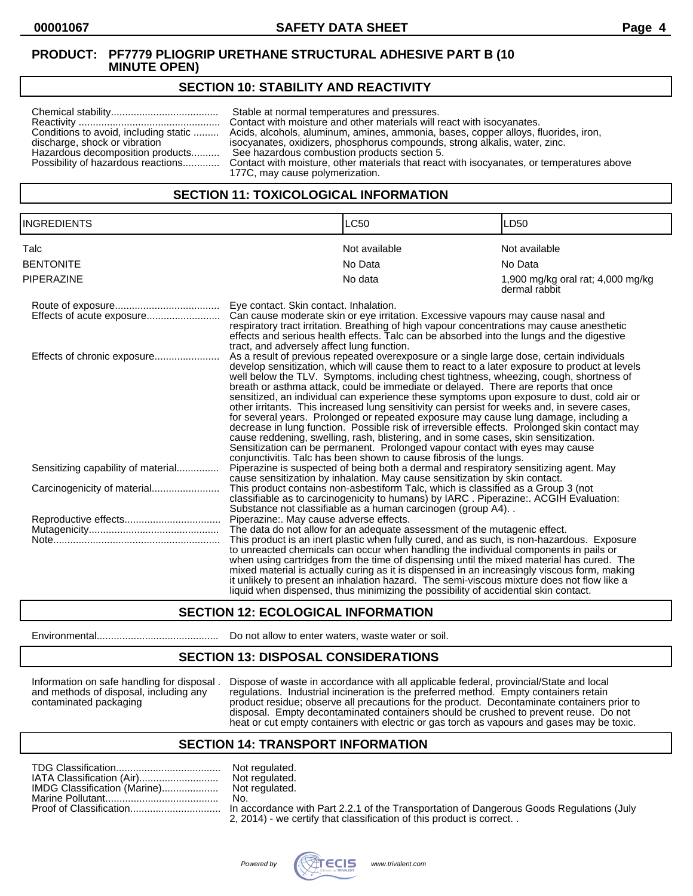# **SECTION 10: STABILITY AND REACTIVITY**

| Conditions to avoid, including static<br>discharge, shock or vibration<br>Hazardous decomposition products<br>Possibility of hazardous reactions | Stable at normal temperatures and pressures.<br>Contact with moisture and other materials will react with isocyanates.<br>Acids, alcohols, aluminum, amines, ammonia, bases, copper alloys, fluorides, iron,<br>isocyanates, oxidizers, phosphorus compounds, strong alkalis, water, zinc.<br>See hazardous combustion products section 5.<br>Contact with moisture, other materials that react with isocyanates, or temperatures above<br>177C, may cause polymerization. |
|--------------------------------------------------------------------------------------------------------------------------------------------------|----------------------------------------------------------------------------------------------------------------------------------------------------------------------------------------------------------------------------------------------------------------------------------------------------------------------------------------------------------------------------------------------------------------------------------------------------------------------------|
|--------------------------------------------------------------------------------------------------------------------------------------------------|----------------------------------------------------------------------------------------------------------------------------------------------------------------------------------------------------------------------------------------------------------------------------------------------------------------------------------------------------------------------------------------------------------------------------------------------------------------------------|

## **SECTION 11: TOXICOLOGICAL INFORMATION**

| <b>INGREDIENTS</b>                 | <b>LC50</b>                                                                                                                                                                                                                                                                                                                                                                                                                                                                                                                                                                                                                                                                                                                                                                                                                                                                                                                                                                                                      | LD50                                               |
|------------------------------------|------------------------------------------------------------------------------------------------------------------------------------------------------------------------------------------------------------------------------------------------------------------------------------------------------------------------------------------------------------------------------------------------------------------------------------------------------------------------------------------------------------------------------------------------------------------------------------------------------------------------------------------------------------------------------------------------------------------------------------------------------------------------------------------------------------------------------------------------------------------------------------------------------------------------------------------------------------------------------------------------------------------|----------------------------------------------------|
| Talc                               | Not available                                                                                                                                                                                                                                                                                                                                                                                                                                                                                                                                                                                                                                                                                                                                                                                                                                                                                                                                                                                                    | Not available                                      |
| <b>BENTONITE</b>                   | No Data                                                                                                                                                                                                                                                                                                                                                                                                                                                                                                                                                                                                                                                                                                                                                                                                                                                                                                                                                                                                          | No Data                                            |
| <b>PIPERAZINE</b>                  | No data                                                                                                                                                                                                                                                                                                                                                                                                                                                                                                                                                                                                                                                                                                                                                                                                                                                                                                                                                                                                          | 1,900 mg/kg oral rat; 4,000 mg/kg<br>dermal rabbit |
|                                    | Eye contact. Skin contact. Inhalation.<br>Can cause moderate skin or eye irritation. Excessive vapours may cause nasal and<br>respiratory tract irritation. Breathing of high vapour concentrations may cause anesthetic<br>effects and serious health effects. Talc can be absorbed into the lungs and the digestive<br>tract, and adversely affect lung function.                                                                                                                                                                                                                                                                                                                                                                                                                                                                                                                                                                                                                                              |                                                    |
| Effects of chronic exposure        | As a result of previous repeated overexposure or a single large dose, certain individuals<br>develop sensitization, which will cause them to react to a later exposure to product at levels<br>well below the TLV. Symptoms, including chest tightness, wheezing, cough, shortness of<br>breath or asthma attack, could be immediate or delayed. There are reports that once<br>sensitized, an individual can experience these symptoms upon exposure to dust, cold air or<br>other irritants. This increased lung sensitivity can persist for weeks and, in severe cases,<br>for several years. Prolonged or repeated exposure may cause lung damage, including a<br>decrease in lung function. Possible risk of irreversible effects. Prolonged skin contact may<br>cause reddening, swelling, rash, blistering, and in some cases, skin sensitization.<br>Sensitization can be permanent. Prolonged vapour contact with eyes may cause<br>conjunctivitis. Talc has been shown to cause fibrosis of the lungs. |                                                    |
| Sensitizing capability of material | Piperazine is suspected of being both a dermal and respiratory sensitizing agent. May<br>cause sensitization by inhalation. May cause sensitization by skin contact.                                                                                                                                                                                                                                                                                                                                                                                                                                                                                                                                                                                                                                                                                                                                                                                                                                             |                                                    |
|                                    | This product contains non-asbestiform Talc, which is classified as a Group 3 (not<br>classifiable as to carcinogenicity to humans) by IARC. Piperazine:. ACGIH Evaluation:<br>Substance not classifiable as a human carcinogen (group A4)                                                                                                                                                                                                                                                                                                                                                                                                                                                                                                                                                                                                                                                                                                                                                                        |                                                    |
|                                    | Piperazine:. May cause adverse effects.<br>The data do not allow for an adequate assessment of the mutagenic effect.<br>This product is an inert plastic when fully cured, and as such, is non-hazardous. Exposure<br>to unreacted chemicals can occur when handling the individual components in pails or<br>when using cartridges from the time of dispensing until the mixed material has cured. The<br>mixed material is actually curing as it is dispensed in an increasingly viscous form, making<br>it unlikely to present an inhalation hazard. The semi-viscous mixture does not flow like a<br>liquid when dispensed, thus minimizing the possibility of accidential skin contact.                                                                                                                                                                                                                                                                                                                     |                                                    |

# **SECTION 12: ECOLOGICAL INFORMATION**

Environmental........................................... Do not allow to enter waters, waste water or soil.

#### **SECTION 13: DISPOSAL CONSIDERATIONS**

Information on safe handling for disposal . Dispose of waste in accordance with all applicable federal, provincial/State and local and methods of disposal, including any regulations. Industrial incineration is the preferred method. Empty containers retain contaminated packaging product residue; observe all precautions for the product. Decontaminate containers prior to disposal. Empty decontaminated containers should be crushed to prevent reuse. Do not heat or cut empty containers with electric or gas torch as vapours and gases may be toxic.

#### **SECTION 14: TRANSPORT INFORMATION**

|                              | Not |
|------------------------------|-----|
| IATA Classification (Air)    | Not |
| IMDG Classification (Marine) | Not |
|                              | No. |
|                              |     |

Not regulated. Not regulated. Not regulated.<br>No.

In accordance with Part 2.2.1 of the Transportation of Dangerous Goods Regulations (July 2, 2014) - we certify that classification of this product is correct. .